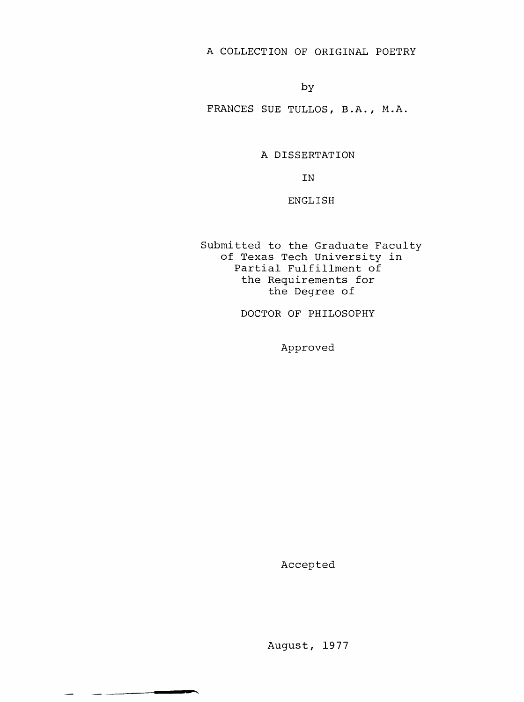A COLLECTION OF ORIGINAL POETRY

by

FRANCES SUE TULLOS, B.A., M.A.

A DISSERTATION

IN

ENGLISH

Submitted to the Graduate Faculty of Texas Tech University in Partial Fulfillment of the Requirements for the Degree of

DOCTOR OF PHILOSOPHY

Approved

Accepted

سب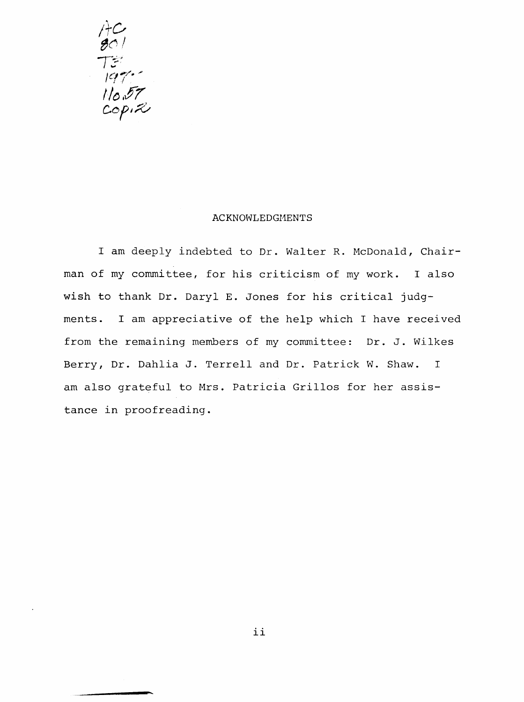

#### ACKNOWLEDGMENTS

I am deeply indebted to Dr. Walter R. McDonald, Chairman of my committee, for his criticism of my work. I also wish to thank Dr. Daryl E. Jones for his critical judgments. I am appreciative of the help which I have received from the remaining members of my committee: Dr. J. Wilkes Berry, Dr. Dahlia J. Terrell and Dr. Patrick W. Shaw. I am also grateful to Mrs. Patricia Grillos for her assistance in proofreading.

ii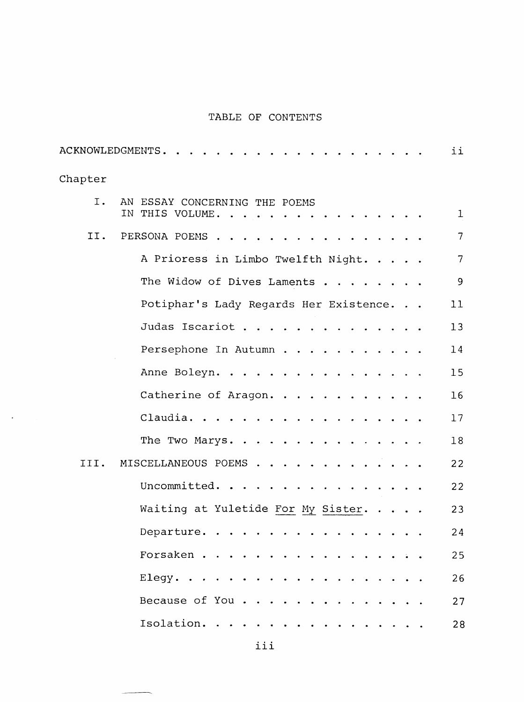# TABLE OF CONTENTS

|         |                                                  | ii              |
|---------|--------------------------------------------------|-----------------|
| Chapter |                                                  |                 |
| I.      | AN ESSAY CONCERNING THE POEMS<br>IN THIS VOLUME. | $\mathbf{I}$    |
| II.     | PERSONA POEMS                                    | $7\overline{ }$ |
|         | A Prioress in Limbo Twelfth Night.               | $7\overline{ }$ |
|         | The Widow of Dives Laments                       | 9               |
|         | Potiphar's Lady Regards Her Existence.           | 11              |
|         | Judas Iscariot                                   | 13              |
|         | Persephone In Autumn                             | 14              |
|         | Anne Boleyn.                                     | 15              |
|         | Catherine of Aragon.                             | 16              |
|         | Claudia.                                         | 17              |
|         | The Two Marys.                                   | 18              |
| III.    | MISCELLANEOUS POEMS                              | 22              |
|         | Uncommitted.                                     | 22              |
|         | Waiting at Yuletide For My Sister.               | 23              |
|         | Departure.                                       | 24              |
|         | Forsaken                                         | 25              |
|         | Elegy.                                           | 26              |
|         | Because of You                                   | 27              |
|         | Isolation.                                       | 28              |
|         |                                                  |                 |

 $\langle \cdot \rangle$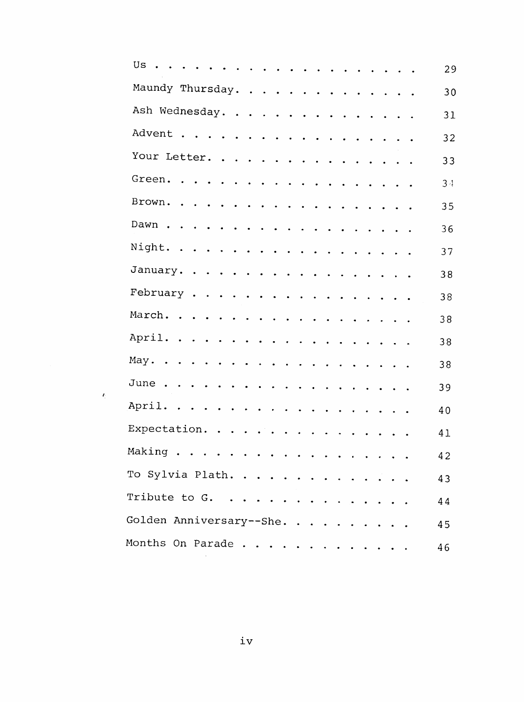| Us<br>$\sim$                                       | 29             |
|----------------------------------------------------|----------------|
| Maundy Thursday.                                   | 30             |
| Ash Wednesday.                                     | 31             |
|                                                    | 32             |
| Your Letter.                                       | 33             |
|                                                    | 3 <sub>4</sub> |
|                                                    | 35             |
|                                                    | 36             |
|                                                    | 37             |
| January.                                           | 38             |
| February                                           | 38             |
|                                                    | 38             |
|                                                    | 38             |
| May.                                               | 38             |
|                                                    | 39             |
| April.                                             | 40             |
|                                                    | 41             |
|                                                    | 42             |
| To Sylvia Plath.                                   | 43             |
| Tribute to $G. \ldots \ldots \ldots \ldots \ldots$ | 44             |
| Golden Anniversary--She.                           | 45             |
| Months On Parade                                   | 46             |
|                                                    |                |

 $\hat{\mathcal{E}}$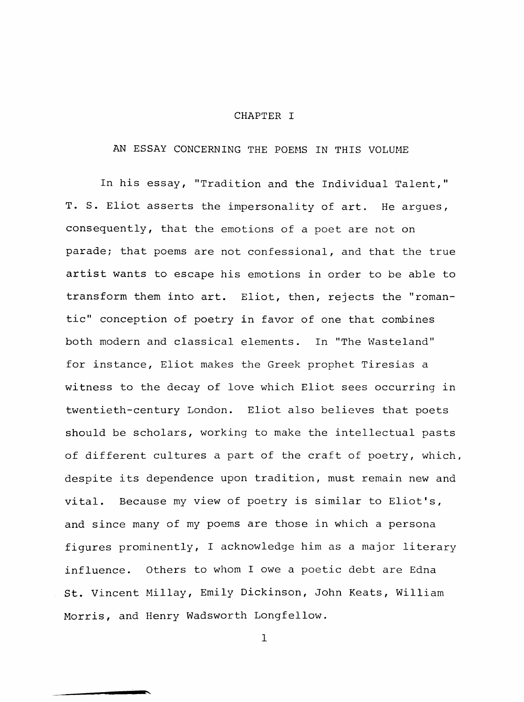#### CHAPTER I

# AN ESSAY CONCERNING THE POEMS IN THIS VOLUME

In his essay, "Tradition and the Individual Talent," T. S. Eliot asserts the impersonality of art. He argues, consequently, that the emotions of a poet are not on parade; that poems are not confessional, and that the true artist wants to escape his emotions in order to be able to transform them into art. Eliot, then, rejects the "romantic" conception of poetry in favor of one that combines both modern and classical elements. In "The Wasteland" for instance, Eliot makes the Greek prophet Tiresias a witness to the decay of love which Eliot sees occurring in twentieth-century London. Eliot also believes that poets should be scholars, working to make the intellectual pasts of different cultures a part of the craft of poetry, which, despite its dependence upon tradition, must remain new and vital. Because my view of poetry is similar to Eliot's, and since many of my poems are those in which a persona figures prominently, I acknowledge him as a major literary influence. Others to whom I owe a poetic debt are Edna St. Vincent Millay, Emily Dickinson, John Keats, William Morris, and Henry Wadsworth Longfellow.

 $\mathbf{1}$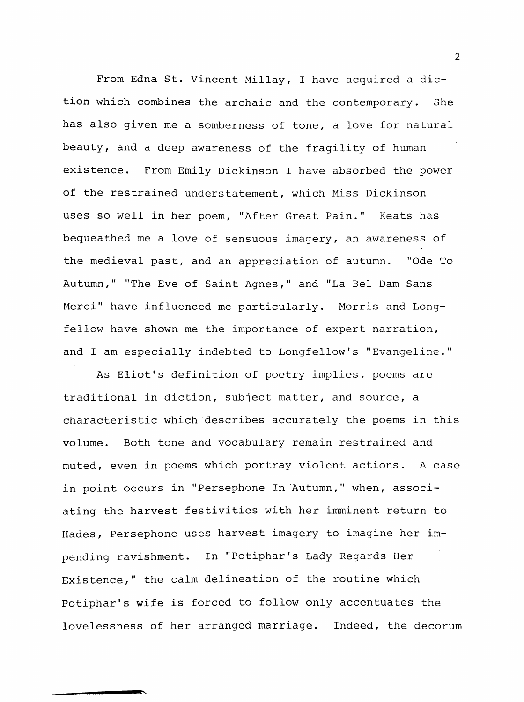From Edna St. Vincent Millay, I have acquired a diction which combines the archaic and the contemporary. She has also given me a somberness of tone, a love for natural beauty, and a deep awareness of the fragility of human existence. From Emily Dickinson I have absorbed the power of the restrained understatement, which Miss Dickinson uses so well in her poem, "After Great Pain." Keats has bequeathed me a love of sensuous imagery, an awareness of the medieval past, and an appreciation of autumn. "Ode To Autumn," "The Eve of Saint Agnes," and "La Bel Dam Sans Merci" have influenced me particularly. Morris and Longfellow have shown me the importance of expert narration, and I am especially indebted to Longfellow's "Evangeline."

As Eliot's definition of poetry implies, poems are traditional in diction, subject matter, and source, a characteristic which describes accurately the poems in this volume. Both tone and vocabulary remain restrained and muted, even in poems which portray violent actions. A case in point occurs in "Persephone In Autumn," when, associating the harvest festivities with her imminent return to Hades, Persephone uses harvest imagery to imagine her impending ravishment. In "Potiphar's Lady Regards Her Existence," the calm delineation of the routine which Potiphar's wife is forced to follow only accentuates the lovelessness of her arranged marriage. Indeed, the decorum

2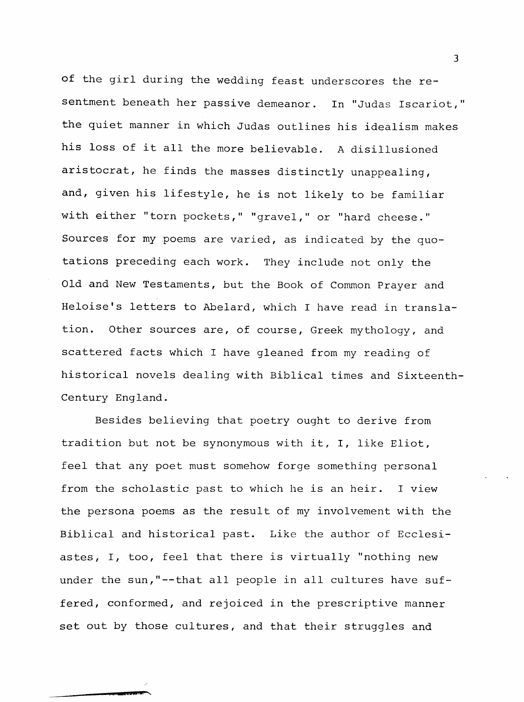of the girl during the wedding feast underscores the resentment beneath her passive demeanor. In "Judas Iscariot," the quiet manner in which Judas outlines his idealism makes his loss of it all the more believable. A disillusioned aristocrat, he finds the masses distinctly unappealing, and, given his lifestyle, he is not likely to be familiar with either "torn pockets," "gravel," or "hard cheese." Sources for my poems are varied, as indicated by the quotations preceding each work. They include not only the Old and New Testaments, but the Book of Common Prayer and Heloise's letters to Abelard, which I have read in translation. Other sources are, of course, Greek mythology, and scattered facts which I have gleaned from my reading of historical novels dealing with Biblical times and Sixteenth-Century England.

Besides believing that poetry ought to derive from tradition but not be synonymous with it, I, like Eliot, feel that any poet must somehow forge something personal from the scholastic past to which he is an heir. I view the persona poems as the result of my involvement with the Biblical and historical past. Like the author of Ecclesiastes, I, too, feel that there is virtually "nothing new under the sun,"--that all people in all cultures have suffered, conformed, and rejoiced in the prescriptive manner set out by those cultures, and that their struggles and

3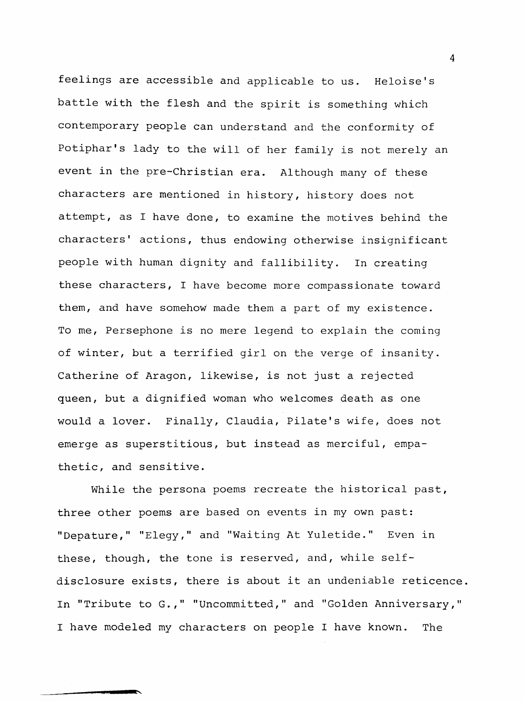feelings are accessible and applicable to us. Heloise's battle with the flesh and the spirit is something which contemporary people can understand and the conformity of Potiphar's lady to the will of her family is not merely an event in the pre-Christian era. Although many of these characters are mentioned in history, history does not attempt, as I have done, to examine the motives behind the characters' actions, thus endowing otherwise insignificant people with human dignity and fallibility. In creating these characters, I have become more compassionate toward them, and have somehow made them a part of my existence. To me, Persephone is no mere legend to explain the coming of winter, but a terrified girl on the verge of insanity. Catherine of Aragon, likewise, is not just a rejected queen, but a dignified woman who welcomes death as one would a lover. Finally, Claudia, Pilate's wife, does not emerge as superstitious, but instead as merciful, empathetic, and sensitive.

While the persona poems recreate the historical past, three other poems are based on events in my own past: "Depature," "Elegy," and "Waiting At Yuletide." Even in these, though, the tone is reserved, and, while selfdisclosure exists, there is about it an undeniable reticence In "Tribute to G.," "Uncommitted," and "Golden Anniversary," I have modeled my characters on people I have known. The

 $\overline{4}$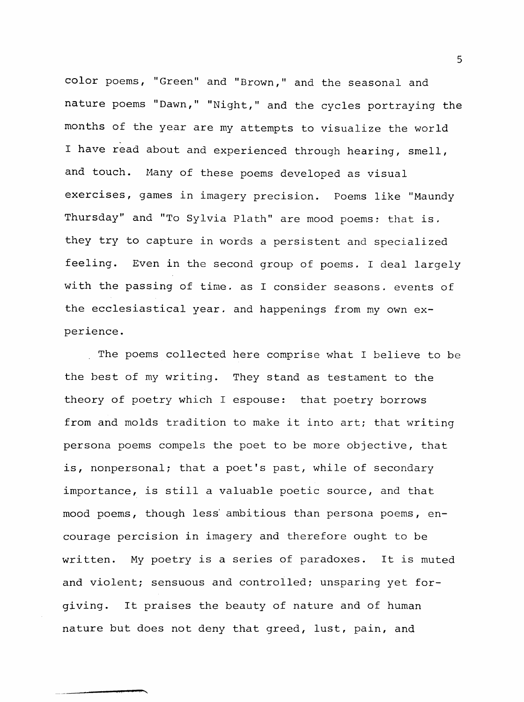color poems, "Green" and "Brown," and the seasonal and nature poems "Dawn," "Night," and the cycles portraying the months of the year are my attempts to visualize the world I have read about and experienced through hearing, smell, and touch. Many of these poems developed as visual exercises, games in imagery precision. Poems like "Maundy Thursday" and "To Sylvia Plath" are mood poems: that is. they try to capture in words a persistent and specialized feeling. Even in the second group of poems. I deal largely with the passing of time, as I consider seasons, events of the ecclesiastical year, and happenings from my own experience.

The poems collected here comprise what I believe to be the best of my writing. They stand as testament to the theory of poetry which I espouse: that poetry borrows from and molds tradition to make it into art; that writing persona poems compels the poet to be more objective, that is, nonpersonal; that a poet's past, while of secondary importance, is still a valuable poetic source, and that mood poems, though less' ambitious than persona poems, encourage percision in imagery and therefore ought to be written. My poetry is a series of paradoxes. It is muted and violent; sensuous and controlled; unsparing yet forgiving. It praises the beauty of nature and of human nature but does not deny that greed, lust, pain, and

5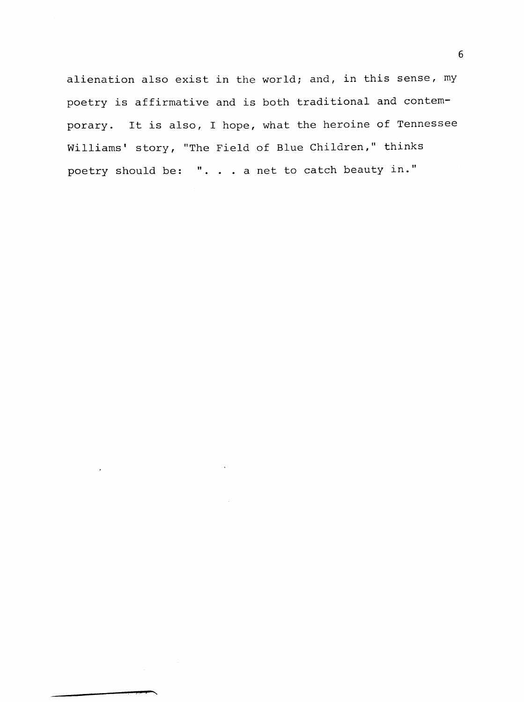alienation also exist in the world; and, in this sense, my poetry is affirmative and is both traditional and contemporary. It is also, I hope, what the heroine of Tennessee Williams' story, "The Field of Blue Children," thinks poetry should be: ".. . a net to catch beauty in."

 $\overline{\phantom{a}}$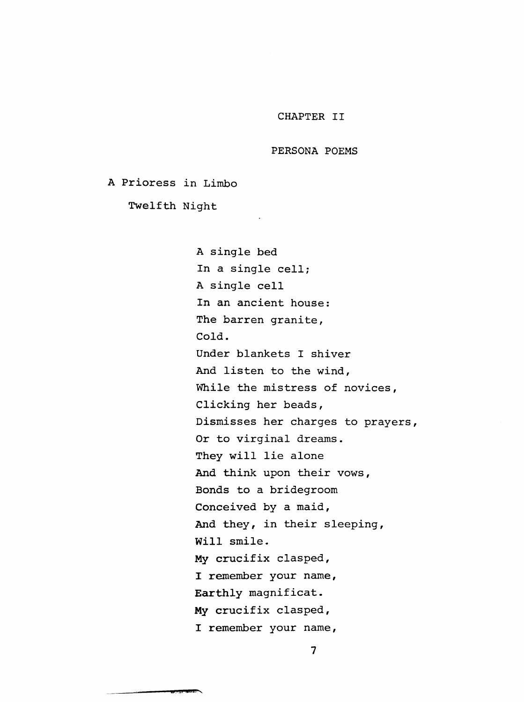#### CHAPTER II

#### PERSONA POEMS

A Prioress in Limbo

Twelfth Night

 $\sim$ 

A single bed In a single cell; A single cell In an ancient house: The barren granite, Cold. Under blankets I shiver And listen to the wind. While the mistress of novices, Clicking her beads, Dismisses her charges to prayers, Or to virginal dreams. They will lie alone And think upon their vows, Bonds to a bridegroom Conceived by a maid. And they, in their sleeping. Will smile. My crucifix clasped, I remember your name, Earthly magnificat. My crucifix clasped, I remember your name,

 $\overline{7}$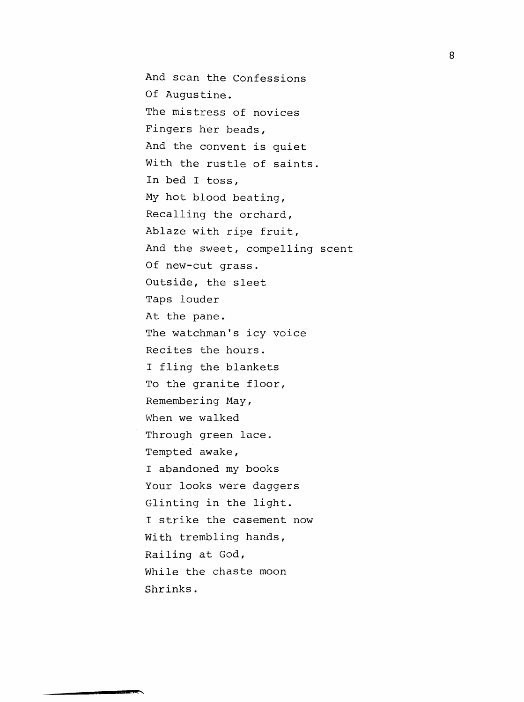And scan the Confessions Of Augustine. The mistress of novices Fingers her beads. And the convent is quiet With the rustle of saints. In bed I toss. My hot blood beating, Recalling the orchard. Ablaze with ripe fruit. And the sweet, compelling scent Of new-cut grass. Outside, the sleet Taps louder At the pane. The watchman's icy voice Recites the hours. I fling the blankets To the granite floor. Remembering May, When we walked Through green lace. Tempted awake, I abandoned my books Your looks were daggers Glinting in the light. I strike the casement now With trembling hands, Railing at God, While the chaste moon Shrinks.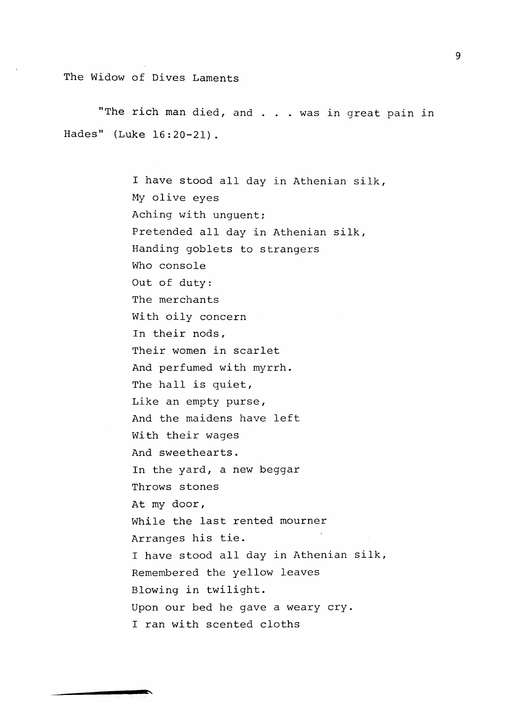The Widow of Dives Laments

 $\mathbf{v}$ 

"The rich man died, and . . . was in great pain in Hades" (Luke 16:20-21).

> I have stood all day in Athenian silk, My olive eyes Aching with unguent; Pretended all day in Athenian silk. Handing goblets to strangers Who console Out of duty: The merchants With oily concern In their nods, Their women in scarlet And perfumed with myrrh. The hall is quiet, Like an empty purse, And the maidens have left With their wages And sweethearts. In the yard, a new beggar Throws stones At my door, While the last rented mourner Arranges his tie. I have stood all day in Athenian silk. Remembered the yellow leaves Blowing in twilight. Upon our bed he gave a weary cry. I ran with scented cloths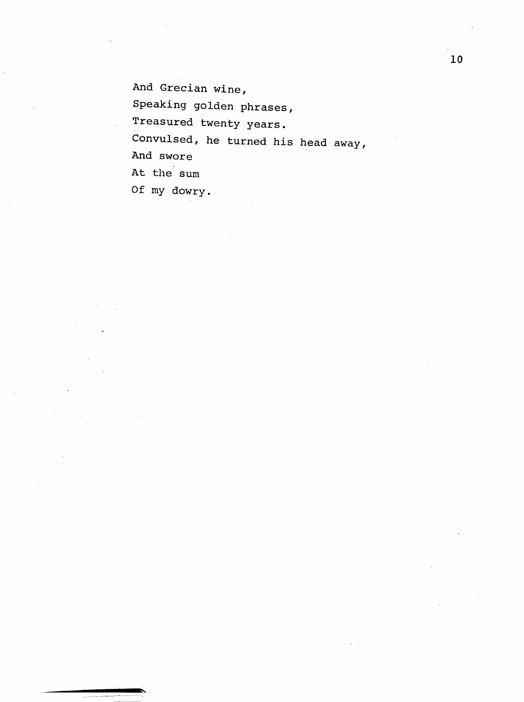And Grecian wine, Speaking golden phrases, Treasured twenty years. Convulsed, he turned his head away. And swore At the sum Of my dowry.

10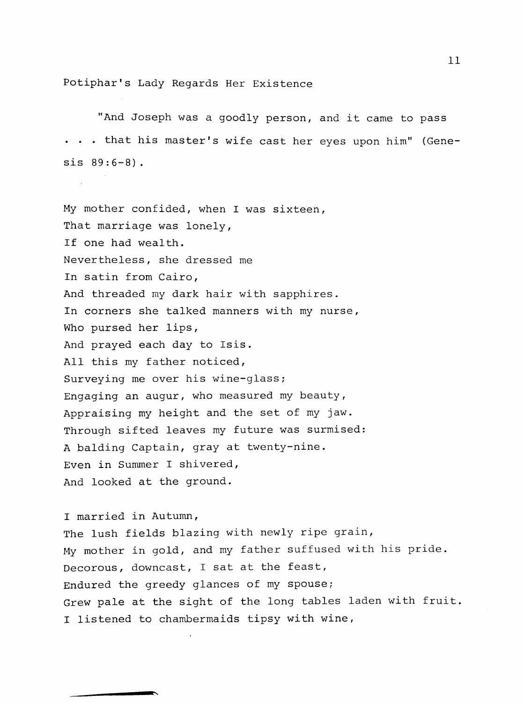Potiphar's Lady Regards Her Existence

"And Joseph was a goodly person, and it came to pass . . . that his master's wife cast her eyes upon him" (Genesis 89:6-8) .

My mother confided, when I was sixteen, That marriage was lonely, If one had wealth. Nevertheless, she dressed me In satin from Cairo, And threaded my dark hair with sapphires. In corners she talked manners with my nurse, Who pursed her lips, And prayed each day to Isis. All this my father noticed, Surveying me over his wine-glass; Engaging an augur, who measured my beauty. Appraising my height and the set of my jaw. Through sifted leaves my future was surmised: A balding Captain, gray at twenty-nine. Even in Summer I shivered. And looked at the ground.

I married in Autumn, The lush fields blazing with newly ripe grain, My mother in gold, and my father suffused with his pride. Decorous, downcast, I sat at the feast. Endured the greedy glances of my spouse; Grew pale at the sight of the long tables laden with fruit I listened to chambermaids tipsy with wine,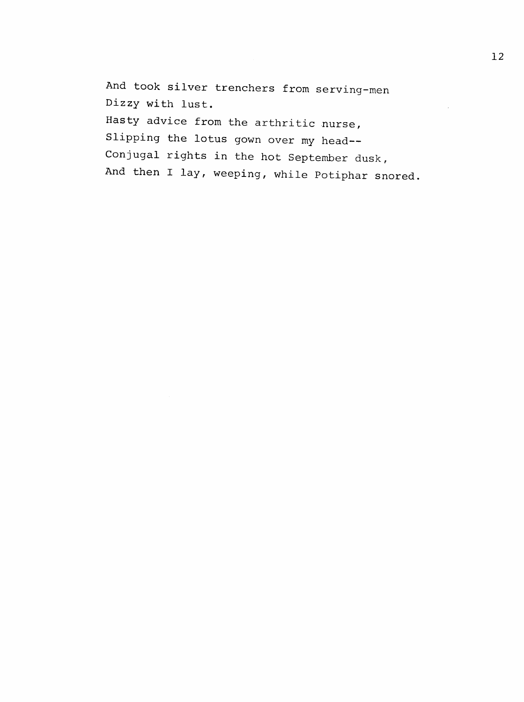And took silver trenchers from serving-men Dizzy with lust. Hasty advice from the arthritic nurse, Slipping the lotus gown over my head--Conjugal rights in the hot September dusk, And then I lay, weeping, while Potiphar snored.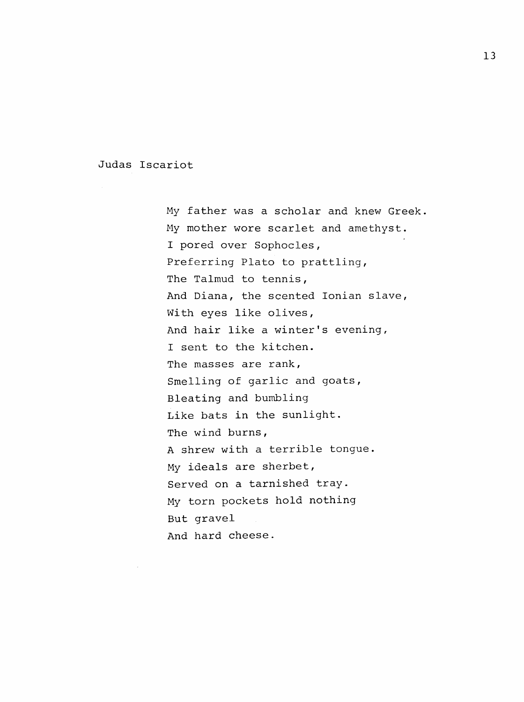Judas Iscariot

My father was a scholar and knew Greek My mother wore scarlet and amethyst. I pored over Sophocles, Preferring Plato to prattling. The Talmud to tennis, And Diana, the scented Ionian slave, With eyes like olives, And hair like a winter's evening, I sent to the kitchen. The masses are rank, Smelling of garlic and goats, Bleating and bumbling Like bats in the sunlight. The wind burns, A shrew with a terrible tongue. My ideals are sherbet. Served on a tarnished tray. My torn pockets hold nothing But gravel And hard cheese.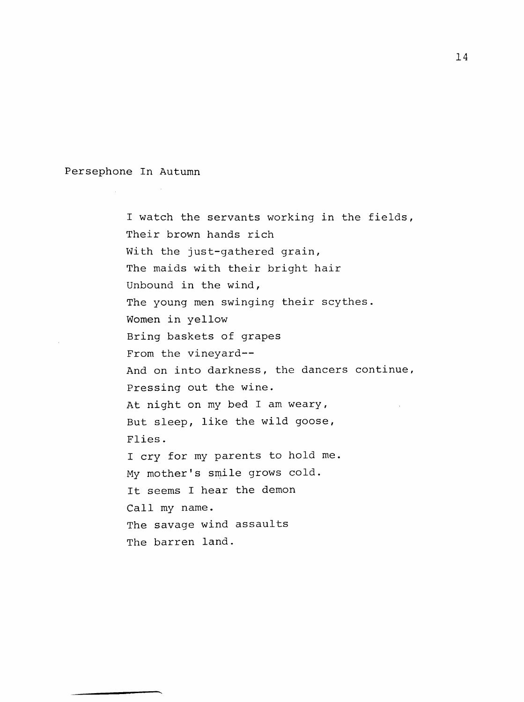Persephone In Autumn

I watch the servants working in the fields, Their brown hands rich With the just-gathered grain, The maids with their bright hair Unbound in the wind, The young men swinging their scythes. Women in yellow Bring baskets of grapes From the vineyard--And on into darkness, the dancers continue. Pressing out the wine. At night on my bed I am weary, But sleep, like the wild goose. Flies. I cry for my parents to hold me. My mother's smile grows cold. It seems I hear the demon Call my name. The savage wind assaults The barren land.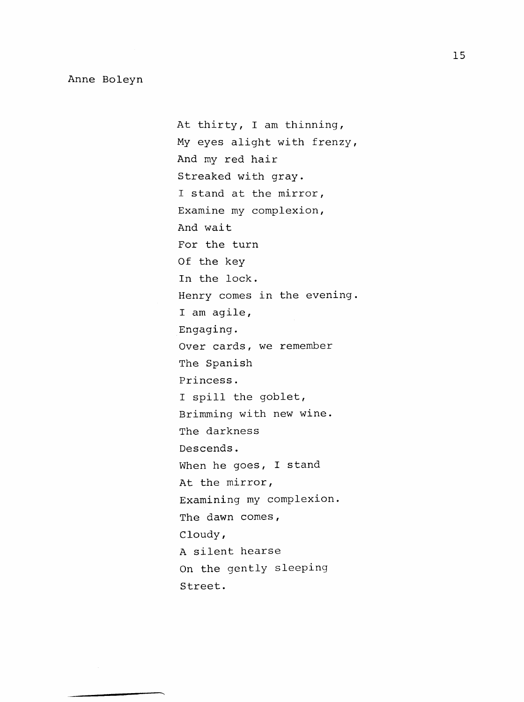At thirty, I am thinning. My eyes alight with frenzy. And my red hair Streaked with gray. I stand at the mirror. Examine my complexion. And wait For the turn Of the key In the lock. Henry comes in the evening. I am agile. Engaging. Over cards, we remember The Spanish Princess. I spill the goblet, Brimming with new wine. The darkness Descends. When he goes, I stand At the mirror, Examining my complexion. The dawn comes, Cloudy, A silent hearse On the gently sleeping Street.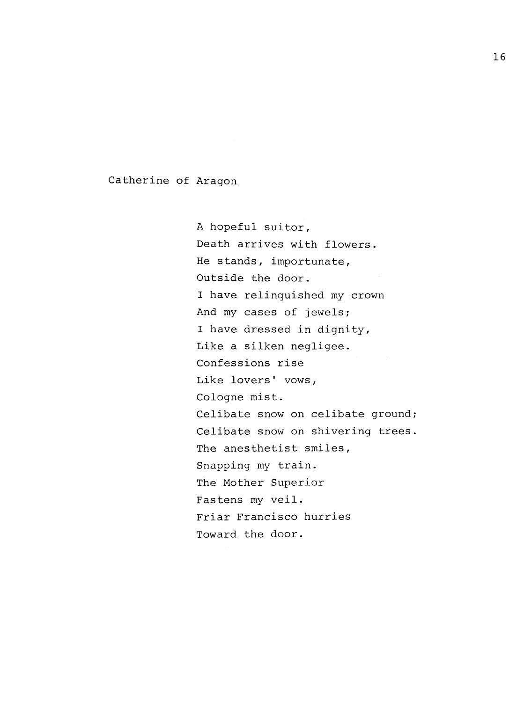Catherine of Aragon

A hopeful suitor. Death arrives with flowers. He stands, importunate, Outside the door. I have relinquished my crown And my cases of jewels; I have dressed in dignity. Like a silken negligee. Confessions rise Like lovers' vows, Cologne mist. Celibate snow on celibate ground; Celibate snow on shivering trees. The anesthetist smiles, Snapping my train. The Mother Superior Fastens my veil. Friar Francisco hurries Toward the door.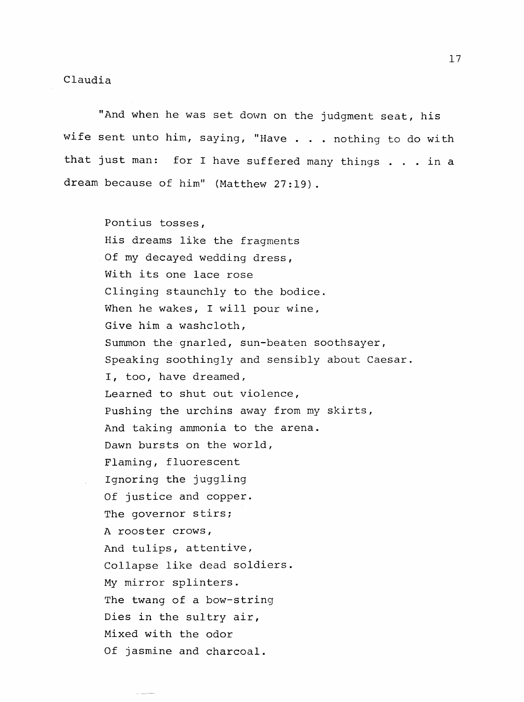"And when he was set down on the judgment seat, his wife sent unto him, saying, "Have . . . nothing to do with that just man: for I have suffered many things . . . in a dream because of him" (Matthew 27:19).

> Pontius tosses. His dreams like the fragments Of my decayed wedding dress, With its one lace rose Clinging staunchly to the bodice. When he wakes, I will pour wine, Give him a washcloth. Summon the gnarled, sun-beaten soothsayer, Speaking soothingly and sensibly about Caesar. I, too, have dreamed. Learned to shut out violence. Pushing the urchins away from my skirts, And taking ammonia to the arena. Dawn bursts on the world, Flaming, fluorescent Ignoring the juggling Of justice and copper. The governor stirs; A rooster crows. And tulips, attentive, Collapse like dead soldiers. My mirror splinters. The twang of a bow-string Dies in the sultry air. Mixed with the odor Of jasmine and charcoal.

17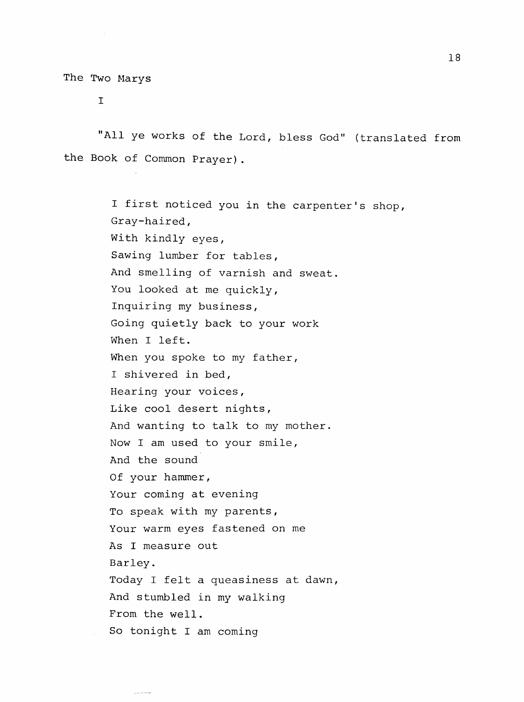$\mathbf I$ 

"All ye works of the Lord, bless God" (translated from the Book of Common Prayer).

> I first noticed you in the carpenter's shop. Gray-haired, With kindly eyes, Sawing lumber for tables. And smelling of varnish and sweat. You looked at me quickly, Inquiring my business. Going quietly back to your work When I left. When you spoke to my father, I shivered in bed, Hearing your voices, Like cool desert nights, And wanting to talk to my mother. Now I am used to your smile. And the sound Of your hammer. Your coming at evening To speak with my parents, Your warm eyes fastened on me As I measure out Barley. Today I felt a queasiness at dawn, And stumbled in my walking From the well. So tonight I am coming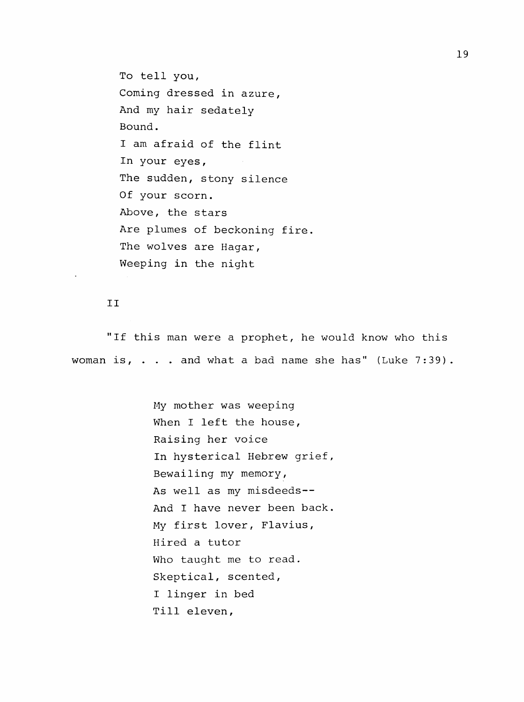To tell you. Coming dressed in azure, And my hair sedately Bound. I am afraid of the flint In your eyes, The sudden, stony silence Of your scorn. Above, the stars Are plumes of beckoning fire. The wolves are Hagar, Weeping in the night

#### II

"If this man were a prophet, he would know who this woman is, . . . and what a bad name she has" (Luke 7:39).

> My mother was weeping When I left the house, Raising her voice In hysterical Hebrew grief, Bewailing my memory. As well as my misdeeds-- And I have never been back. My first lover, Flavius, Hired a tutor Who taught me to read. Skeptical, scented, I linger in bed Till eleven.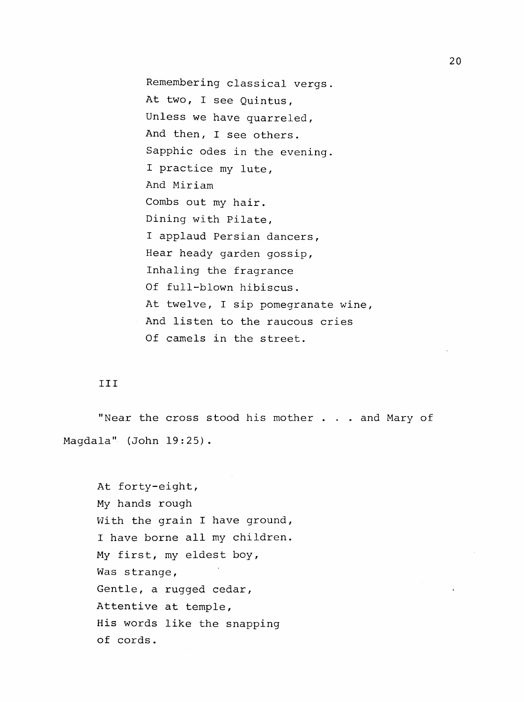Remembering classical vergs. At two, I see Quintus, Unless we have quarreled, And then, I see others. Sapphic odes in the evening. I practice my lute. And Miriam Combs out my hair. Dining with Pilate, I applaud Persian dancers. Hear heady garden gossip. Inhaling the fragrance Of full-blown hibiscus. At twelve, I sip pomegranate wine, And listen to the raucous cries Of camels in the street.

#### Ill

"Near the cross stood his mother . . . and Mary of Magdala" (John 19:25).

At forty-eight. My hands rough With the grain I have ground, I have borne all my children. My first, my eldest boy. Was strange, Gentle, a rugged cedar. Attentive at temple. His words like the snapping of cords.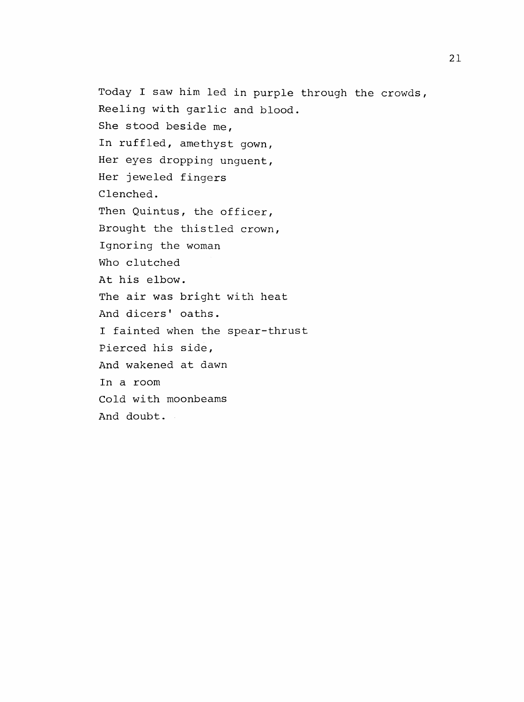Today I saw him led in purple through the crowds, Reeling with garlic and blood. She stood beside me, In ruffled, amethyst gown. Her eyes dropping unguent, Her jeweled fingers Clenched. Then Quintus, the officer, Brought the thistied crown. Ignoring the woman Who clutched At his elbow. The air was bright with heat And dicers' oaths. I fainted when the spear-thrust Pierced his side, And wakened at dawn In a room Cold with moonbeams And doubt .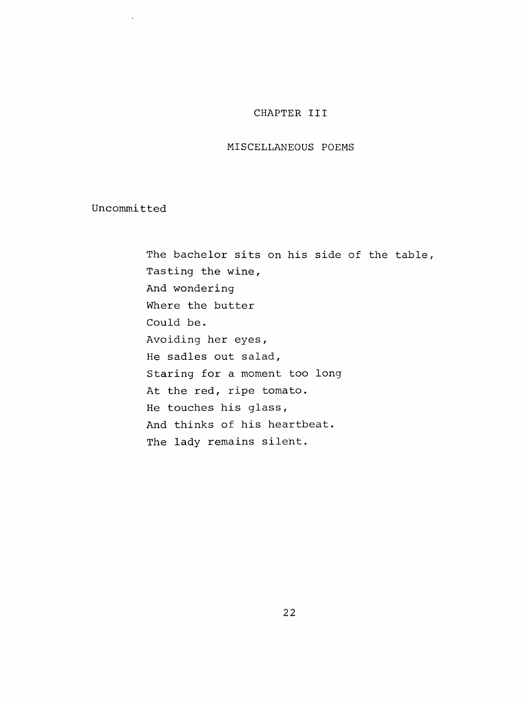# CHAPTER III

#### MISCELLANEOUS POEMS

Uncommitted

 $\mathcal{L}$ 

The bachelor sits on his side of the table, Tasting the wine, And wondering Where the butter Could be. Avoiding her eyes, He sadles out salad, Staring for a moment too long At the red, ripe tomato. He touches his glass, And thinks of his heartbeat. The lady remains silent.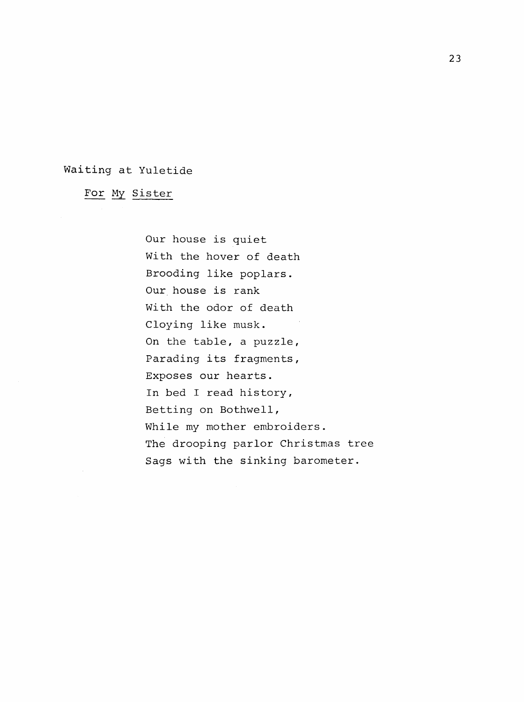# Waiting at Yuletide

For My Sister

Our house is quiet With the hover of death Brooding like poplars. Our house is rank With the odor of death Cloying like musk. On the table, a puzzle. Parading its fragments. Exposes our hearts. In bed I read history. Betting on Bothwell, While my mother embroiders. The drooping parlor Christmas tree Sags with the sinking barometer.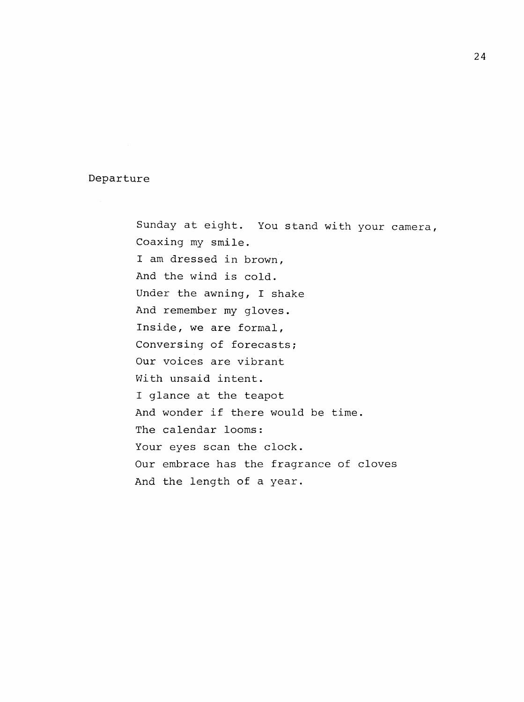Departure

Sunday at eight. You stand with your camera, Coaxing my smile. I am dressed in brown. And the wind is cold. Under the awning, I shake And remember my gloves. Inside, we are formal. Conversing of forecasts; Our voices are vibrant With unsaid intent. I glance at the teapot And wonder if there would be time. The calendar looms: Your eyes scan the clock. Our embrace has the fragrance of cloves And the length of a year.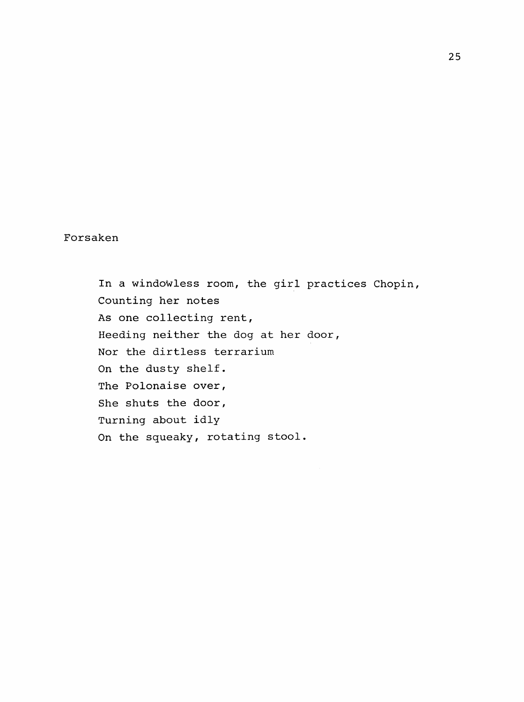# Forsaken

In a windowless room, the girl practices Chopin, Counting her notes As one collecting rent, Heeding neither the dog at her door, Nor the dirtless terrarium On the dusty shelf. The Polonaise over, She shuts the door. Turning about idly On the squeaky, rotating stool.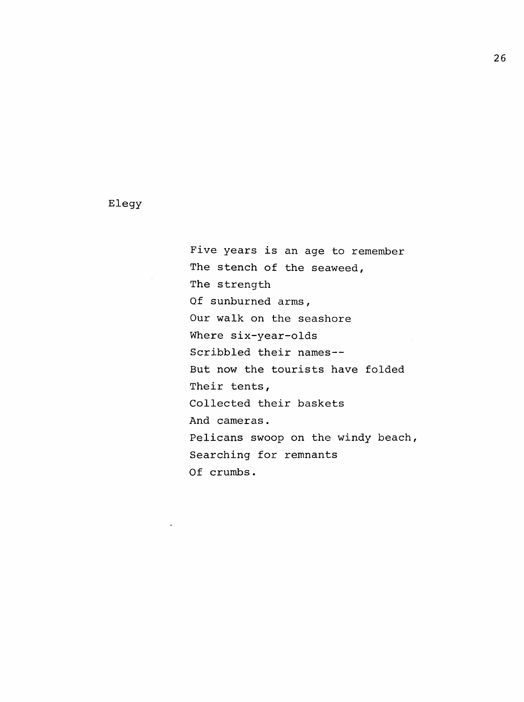# Elegy

Five years is an age to remember The stench of the seaweed, The strength Of sunburned arms, Our walk on the seashore Where six-year-olds Scribbled their names— But now the tourists have folded Their tents, Collected their baskets And cameras. Pelicans swoop on the windy beach, Searching for remnants Of crumbs.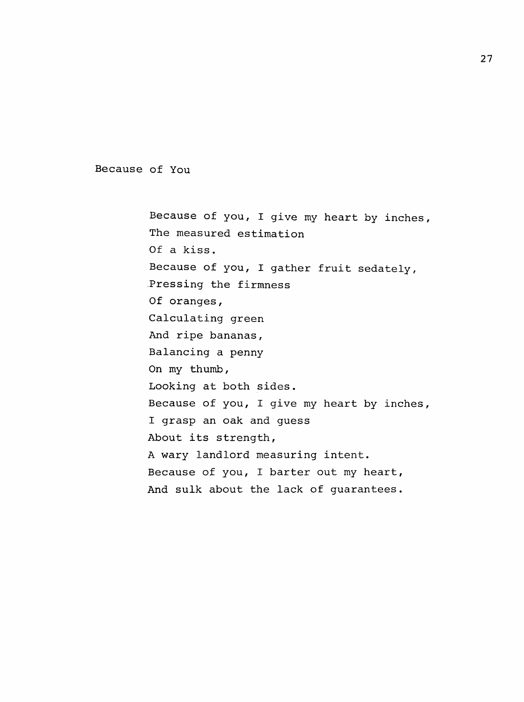Because of You

Because of you, I give my heart by inches, The measured estimation Of a kiss. Because of you, I gather fruit sedately. Pressing the firmness Of oranges, Calculating green And ripe bananas. Balancing a penny On my thumb, Looking at both sides. Because of you, I give my heart by inches, I grasp an oak and guess About its strength, A wary landlord measuring intent. Because of you, I barter out my heart. And sulk about the lack of guarantees.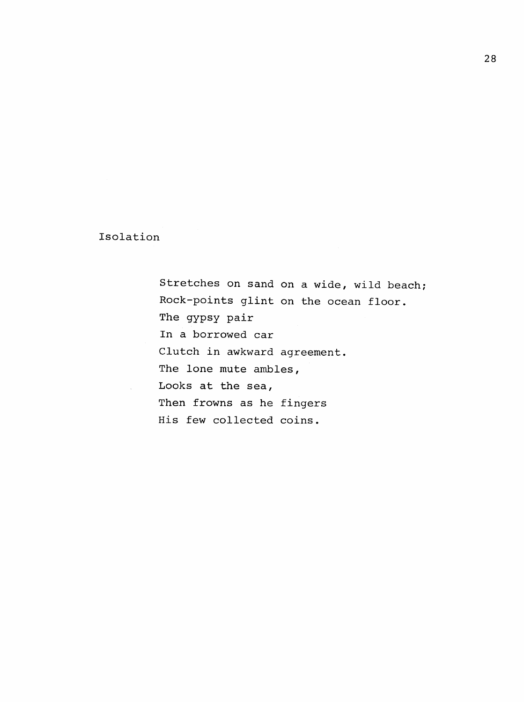# Isolation

Stretches on sand on a wide, wild beach; Rock-points glint on the ocean floor. The gypsy pair In a borrowed car Clutch in awkward agreement. The lone mute ambles, Looks at the sea, Then frowns as he fingers His few collected coins.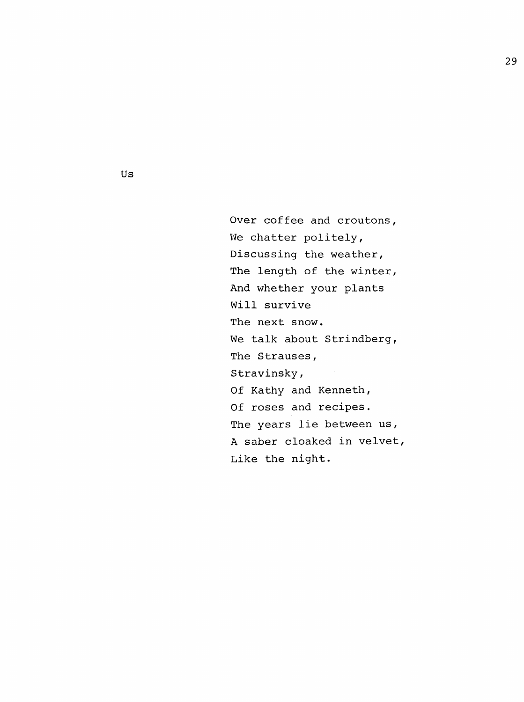Over coffee and croutons, We chatter politely, Discussing the weather, The length of the winter, And whether your plants Will survive The next snow. We talk about Strindberg, The Strauses, Stravinsky, Of Kathy and Kenneth, Of roses and recipes. The years lie between us, A saber cloaked in velvet. Like the night.

Us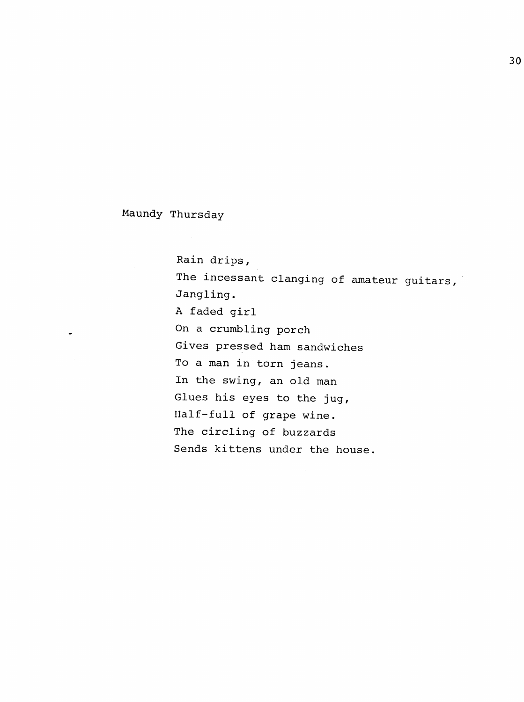Maundy Thursday

Rain drips, The incessant clanging of amateur guitars, Jangling. A faded girl On a crumbling porch Gives pressed ham sandwiches To a man in torn jeans. In the swing, an old man Glues his eyes to the jug, Half-full of grape wine. The circling of buzzards Sends kittens under the house.

 $\bar{z}$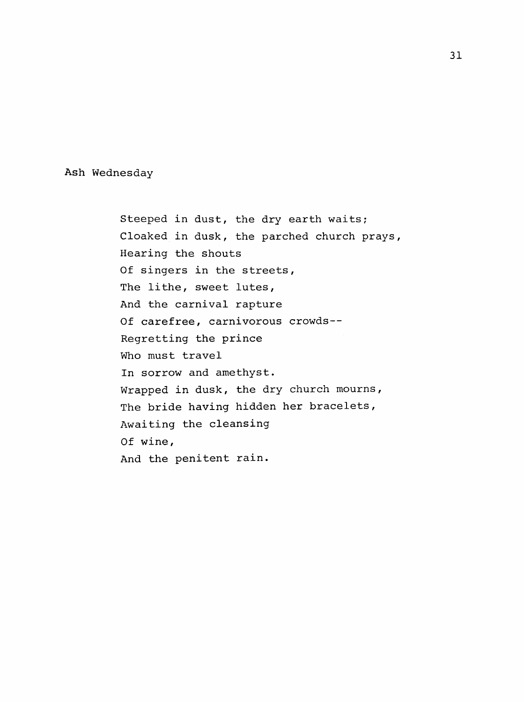Ash Wednesday

Steeped in dust, the dry earth waits; Cloaked in dusk, the parched church prays. Hearing the shouts Of singers in the streets, The lithe, sweet lutes, And the carnival rapture Of carefree, carnivorous crowds-- Regretting the prince Who must travel In sorrow and amethyst. Wrapped in dusk, the dry church mourns, The bride having hidden her bracelets, Awaiting the cleansing Of wine, And the penitent rain.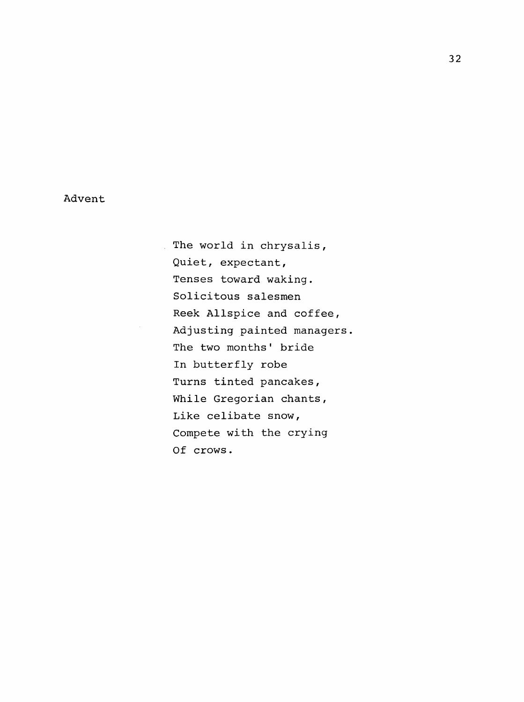# Advent

 $\frac{1}{2}$ 

The world in chrysalis, Quiet, expectant, Tenses toward waking. Solicitous salesmen Reek Allspice and coffee. Adjusting painted managers The two months' bride In butterfly robe Turns tinted pancakes, While Gregorian chants, Like celibate snow. Compete with the crying Of crows.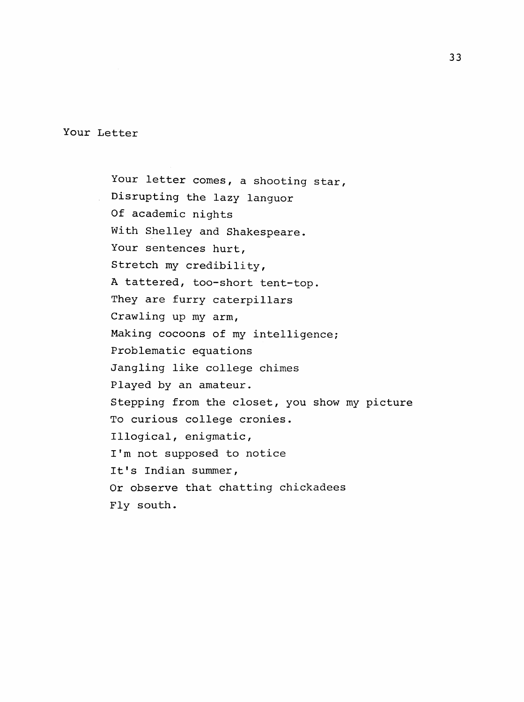Your Letter

Your letter comes, a shooting star, Disrupting the lazy languor Of academic nights With Shelley and Shakespeare. Your sentences hurt. Stretch my credibility, A tattered, too-short tent-top. They are furry caterpillars Crawling up my arm, Making cocoons of my intelligence; Problematic equations Jangling like college chimes Played by an amateur. Stepping from the closet, you show my picture To curious college cronies. Illogical, enigmatic, I'm not supposed to notice It's Indian summer. Or observe that chatting chickadees Fly south.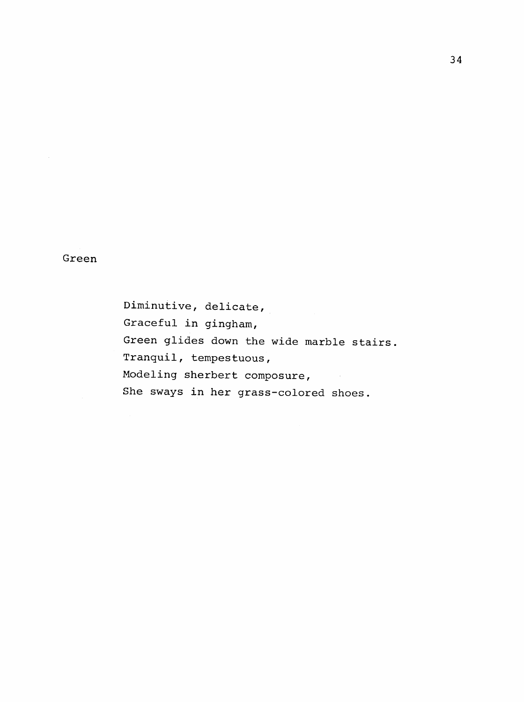Green

Diminutive, delicate, Graceful in gingham. Green glides down the wide marble stairs. Tranquil, tempestuous. Modeling sherbert composure. She sways in her grass-colored shoes.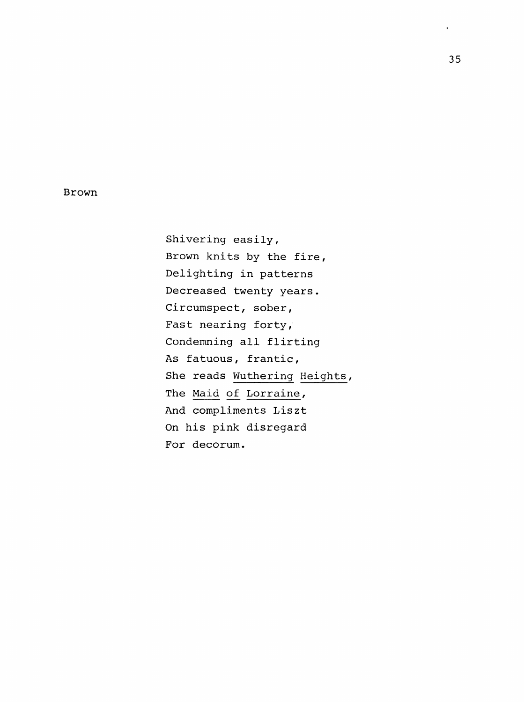### Brown

Shivering easily. Brown knits by the fire, Delighting in patterns Decreased twenty years. Circumspect, sober, Fast nearing forty. Condemning all flirting As fatuous, frantic, She reads Wuthering Heights, The Maid of Lorraine, And compliments Liszt On his pink disregard For decorum.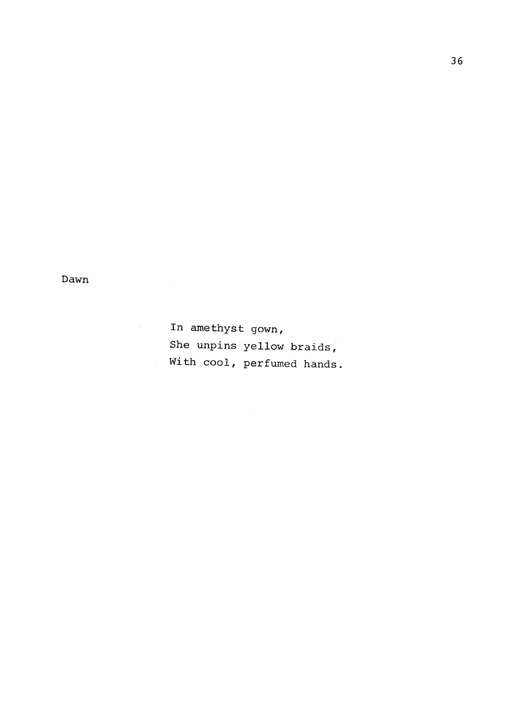Dawn

 $\mathcal{L}^{\text{max}}_{\text{max}}$ 

In amethyst gown, She unpins yellow braids. With cool, perfumed hands.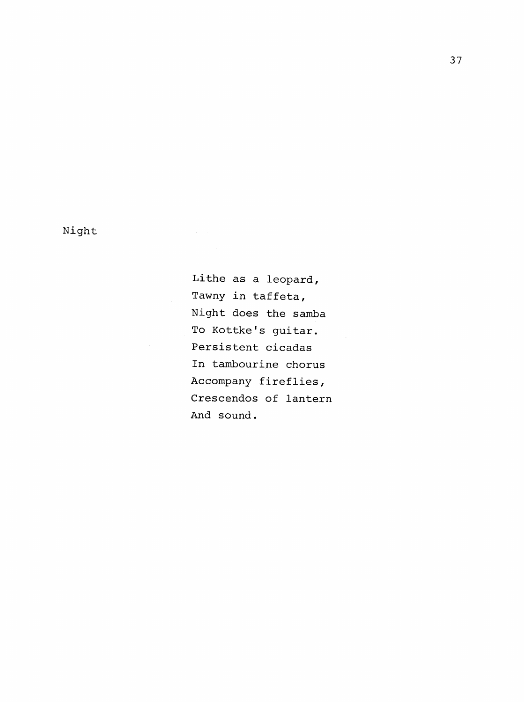Night

Lithe as a leopard, Tawny in taffeta, Night does the samba To Kottke's guitar. Persistent cicadas In tambourine chorus Accompany fireflies, Crescendos of lantern And sound.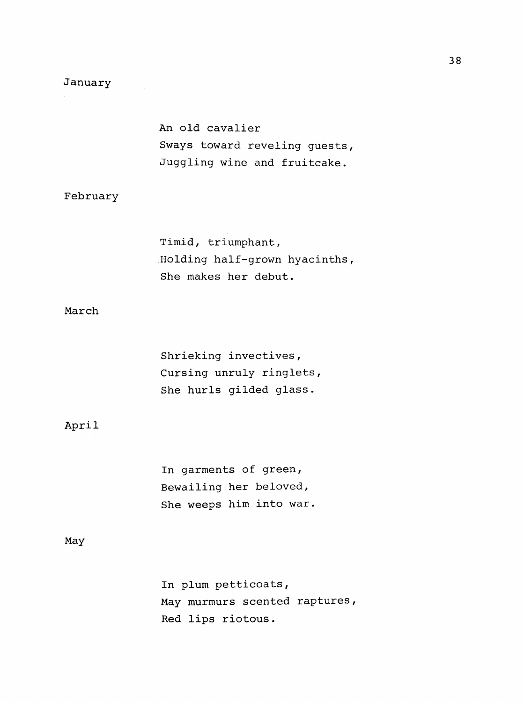# January

An old cavalier Sways toward reveling guests, Juggling wine and fruitcake.

## February

Timid, triumphant. Holding half-grown hyacinths. She makes her debut.

# March

Shrieking invectives, Cursing unruly ringlets. She hurls gilded glass.

#### April

In garments of green, Bewailing her beloved, She weeps him into war

#### May

In plum petticoats, May murmurs scented raptures, Red lips riotous.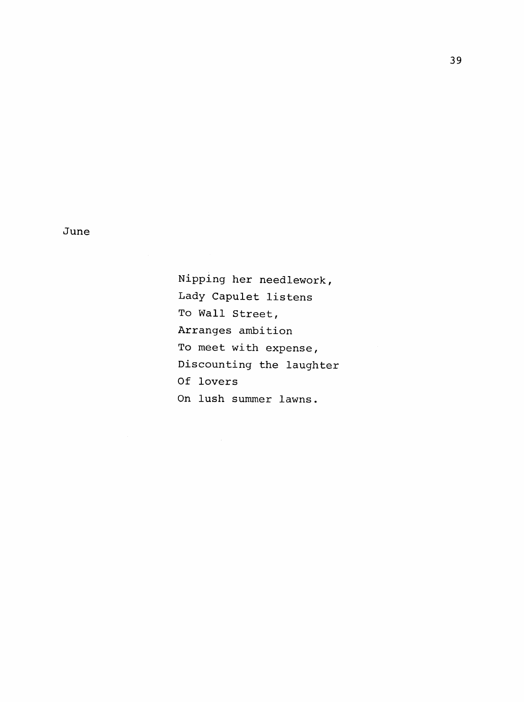June

Nipping her needlework. Lady Capulet listens To Wall Street, Arranges ambition To meet with expense. Discounting the laughter Of lovers On lush summer lawns.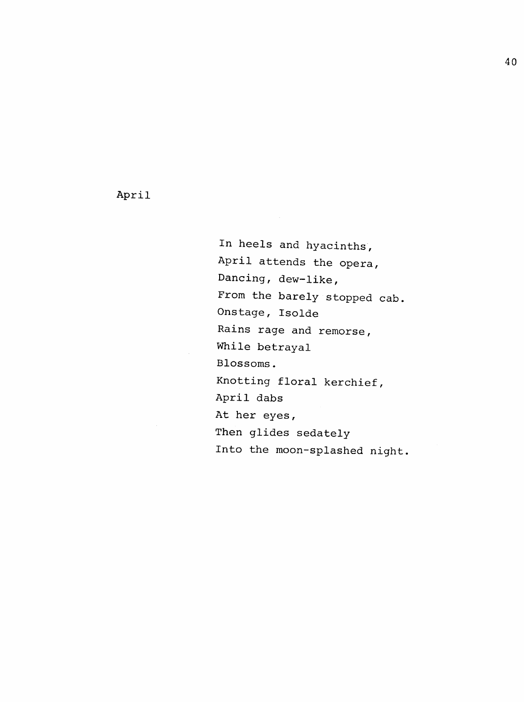April

In heels and hyacinths, April attends the opera, Dancing, dew-like, From the barely stopped cab. Onstage, Isolde Rains rage and remorse, While betrayal Blossoms. Knotting floral kerchief, April dabs At her eyes, Then glides sedately Into the moon-splashed night,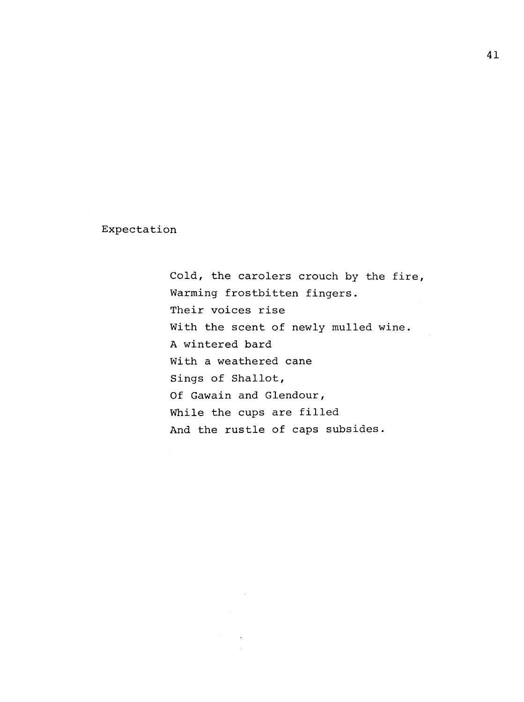Expectation

Cold, the carolers crouch by the fire, Warming frostbitten fingers. Their voices rise With the scent of newly mulled wine. A wintered bard With a weathered cane Sings of Shallot, Of Gawain and Glendour, While the cups are filled And the rustle of caps subsides.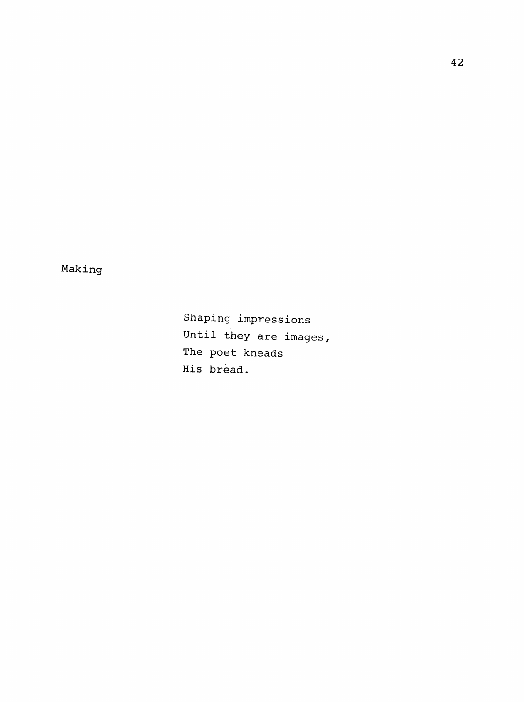Making

Shaping impressions Until they are images, The poet kneads His bread.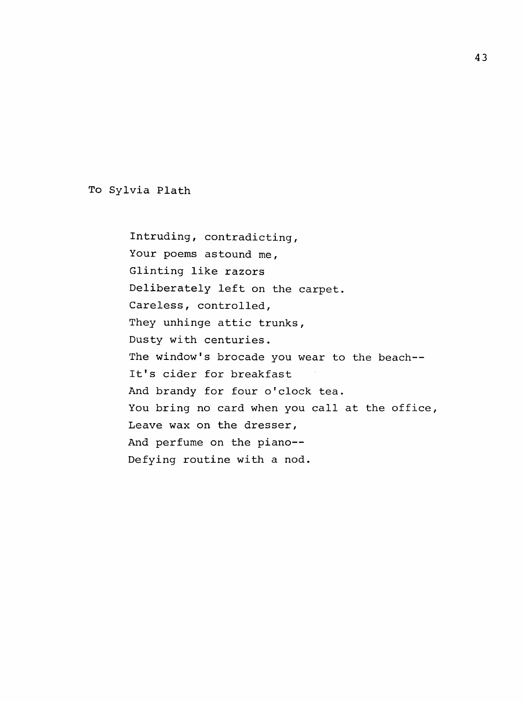To Sylvia Plath

Intruding, contradicting. Your poems astound me, Glinting like razors Deliberately left on the carpet. Careless, controlled, They unhinge attic trunks, Dusty with centuries. The window's brocade you wear to the beach--It's cider for breakfast And brandy for four o'clock tea. You bring no card when you call at the office, Leave wax on the dresser, And perfume on the piano--Defying routine with a nod.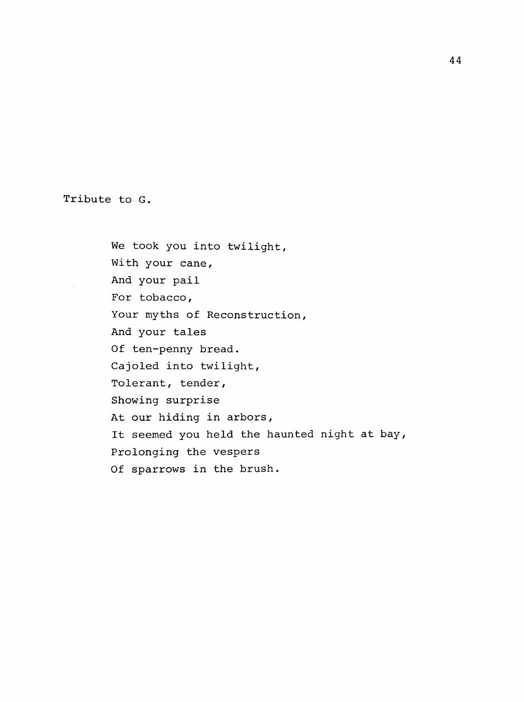Tribute to G.

We took you into twilight, With your cane, And your pail For tobacco, Your myths of Reconstruction, And your tales Of ten-penny bread. Cajoled into twilight. Tolerant, tender. Showing surprise At our hiding in arbors, It seemed you held the haunted night at bay, Prolonging the vespers Of sparrows in the brush.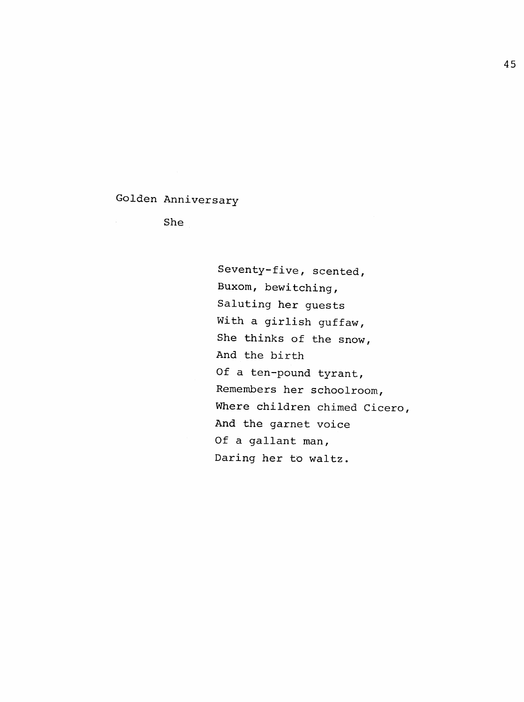# Golden Anniversary

She

Seventy-five, scented. Buxom, bewitching. Saluting her guests With a girlish guffaw, She thinks of the snow, And the birth Of a ten-pound tyrant, Remembers her schoolroom. Where children chimed Cicero, And the garnet voice Of a gallant man, Daring her to waltz.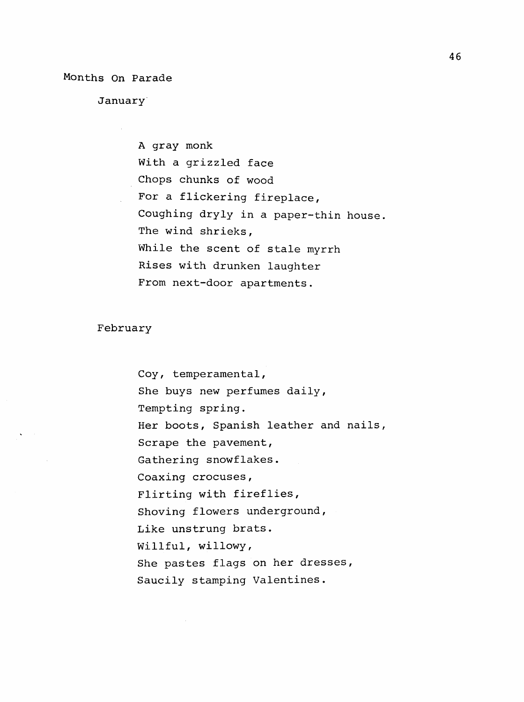Months On Parade

January

A gray monk With a grizzled face Chops chunks of wood For a flickering fireplace, Coughing dryly in a paper-thin house. The wind shrieks. While the scent of stale myrrh Rises with drunken laughter From next-door apartments.

February

Coy, temperamental. She buys new perfumes daily, Tempting spring. Her boots, Spanish leather and nails, Scrape the pavement, Gathering snowflakes. Coaxing crocuses, Flirting with fireflies, Shoving flowers underground. Like unstrung brats. Willful, willowy. She pastes flags on her dresses. Saucily stamping Valentines.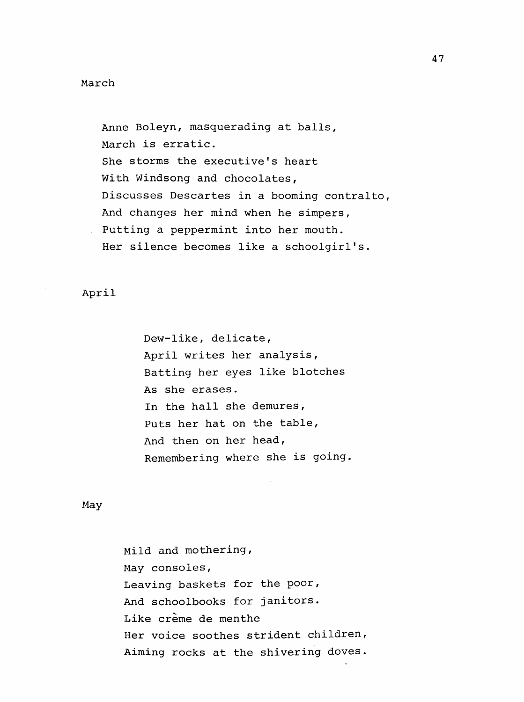#### March

Anne Boleyn, masquerading at balls, March is erratic. She storms the executive's heart With Windsong and chocolates, Discusses Descartes in a booming contralto. And changes her mind when he simpers, Putting a peppermint into her mouth. Her silence becomes like a schoolgirl's.

# April

Dew-like, delicate, April writes her analysis. Batting her eyes like blotches As she erases. In the hall she demures, Puts her hat on the table. And then on her head. Remembering where she is going

#### May

Mild and mothering. May consoles, Leaving baskets for the poor. And schoolbooks for janitors. Like crème de menthe Her voice soothes strident children, Aiming rocks at the shivering doves.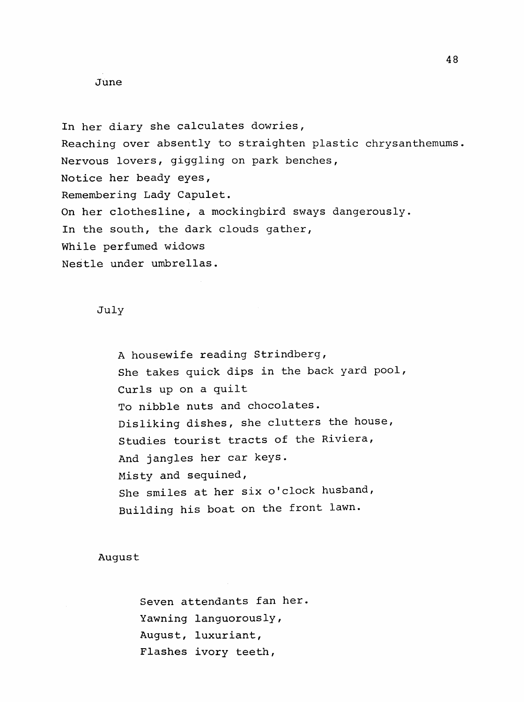#### June

In her diary she calculates dowries, Reaching over absently to straighten plastic chrysanthemums. Nervous lovers, giggling on park benches. Notice her beady eyes. Remembering Lady Capulet. On her clothesline, a mockingbird sways dangerously. In the south, the dark clouds gather, While perfumed widows Nestle under umbrellas.

# July

A housewife reading Strindberg, She takes quick dips in the back yard pool. Curls up on a quilt To nibble nuts and chocolates. Disliking dishes, she clutters the house. Studies tourist tracts of the Riviera, And jangles her car keys. Misty and sequined. She smiles at her six o'clock husband, Building his boat on the front lawn.

# August

Seven attendants fan her Yawning languorously, August, luxuriant. Flashes ivory teeth,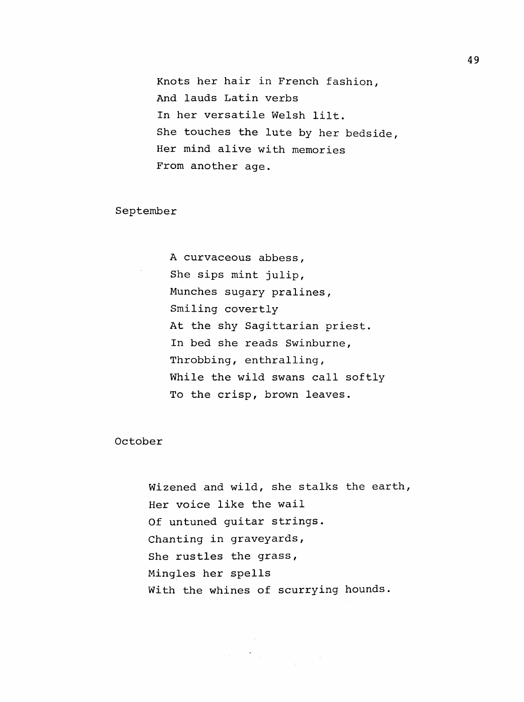Knots her hair in French fashion, And lauds Latin verbs In her versatile Welsh lilt. She touches the lute by her bedside. Her mind alive with memories From another age.

September

A curvaceous abbess. She sips mint julip. Munches sugary pralines. Smiling covertly At the shy Sagittarian priest. In bed she reads Swinburne, Throbbing, enthralling, While the wild swans call softly To the crisp, brown leaves.

October

Wizened and wild, she stalks the earth, Her voice like the wail Of untuned guitar strings. Chanting in graveyards. She rustles the grass, Mingles her spells With the whines of scurrying hounds.